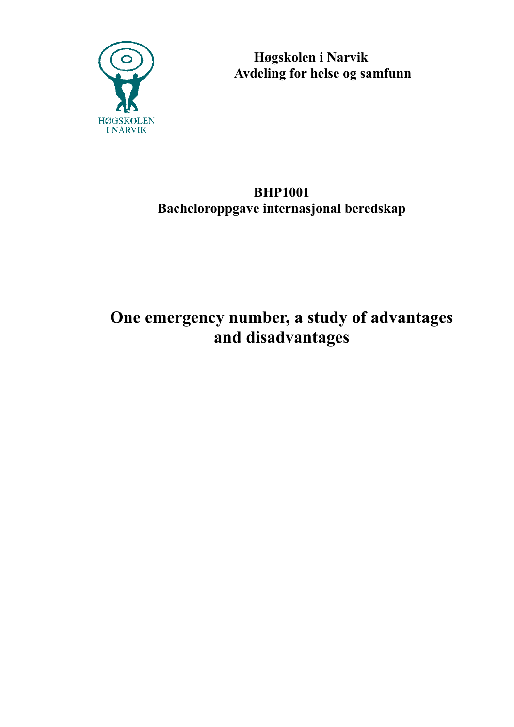

 **Høgskolen i Narvik Avdeling for helse og samfunn**

# **BHP1001 Bacheloroppgave internasjonal beredskap**

# **One emergency number, a study of advantages and disadvantages**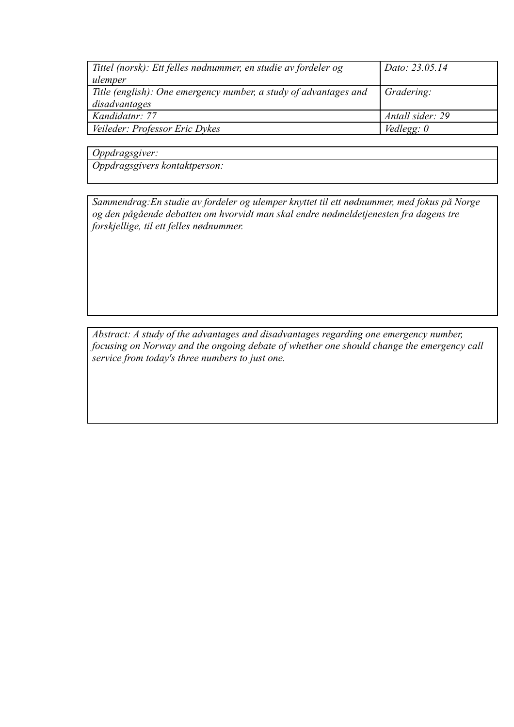| Tittel (norsk): Ett felles nødnummer, en studie av fordeler og   | Dato: 23.05.14    |
|------------------------------------------------------------------|-------------------|
| ulemper                                                          |                   |
| Title (english): One emergency number, a study of advantages and | Gradering:        |
| disadvantages                                                    |                   |
| Kandidatnr: 77                                                   | Antall sider: 29  |
| Veileder: Professor Eric Dykes                                   | Vedlegg: $\theta$ |

*Oppdragsgiver:*

*Oppdragsgivers kontaktperson:*

*Sammendrag:En studie av fordeler og ulemper knyttet til ett nødnummer, med fokus på Norge og den pågående debatten om hvorvidt man skal endre nødmeldetjenesten fra dagens tre forskjellige, til ett felles nødnummer.*

*Abstract: A study of the advantages and disadvantages regarding one emergency number, focusing on Norway and the ongoing debate of whether one should change the emergency call service from today's three numbers to just one.*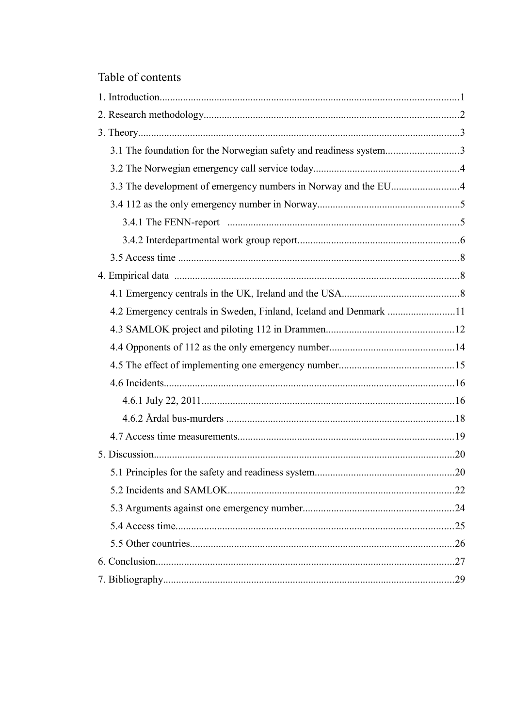# Table of contents

| 3.1 The foundation for the Norwegian safety and readiness system3 |  |
|-------------------------------------------------------------------|--|
|                                                                   |  |
|                                                                   |  |
|                                                                   |  |
|                                                                   |  |
|                                                                   |  |
|                                                                   |  |
|                                                                   |  |
|                                                                   |  |
| 4.2 Emergency centrals in Sweden, Finland, Iceland and Denmark 11 |  |
|                                                                   |  |
|                                                                   |  |
|                                                                   |  |
|                                                                   |  |
|                                                                   |  |
|                                                                   |  |
|                                                                   |  |
|                                                                   |  |
|                                                                   |  |
|                                                                   |  |
|                                                                   |  |
|                                                                   |  |
|                                                                   |  |
|                                                                   |  |
|                                                                   |  |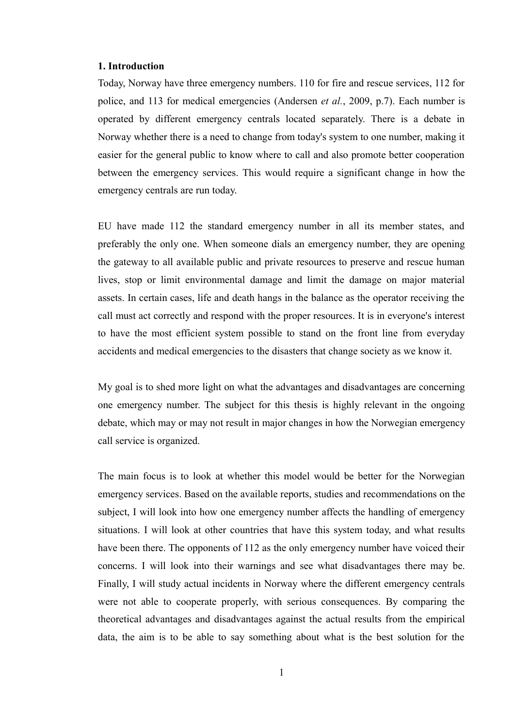#### **1. Introduction**

Today, Norway have three emergency numbers. 110 for fire and rescue services, 112 for police, and 113 for medical emergencies (Andersen *et al.*, 2009, p.7). Each number is operated by different emergency centrals located separately. There is a debate in Norway whether there is a need to change from today's system to one number, making it easier for the general public to know where to call and also promote better cooperation between the emergency services. This would require a significant change in how the emergency centrals are run today.

EU have made 112 the standard emergency number in all its member states, and preferably the only one. When someone dials an emergency number, they are opening the gateway to all available public and private resources to preserve and rescue human lives, stop or limit environmental damage and limit the damage on major material assets. In certain cases, life and death hangs in the balance as the operator receiving the call must act correctly and respond with the proper resources. It is in everyone's interest to have the most efficient system possible to stand on the front line from everyday accidents and medical emergencies to the disasters that change society as we know it.

My goal is to shed more light on what the advantages and disadvantages are concerning one emergency number. The subject for this thesis is highly relevant in the ongoing debate, which may or may not result in major changes in how the Norwegian emergency call service is organized.

The main focus is to look at whether this model would be better for the Norwegian emergency services. Based on the available reports, studies and recommendations on the subject, I will look into how one emergency number affects the handling of emergency situations. I will look at other countries that have this system today, and what results have been there. The opponents of 112 as the only emergency number have voiced their concerns. I will look into their warnings and see what disadvantages there may be. Finally, I will study actual incidents in Norway where the different emergency centrals were not able to cooperate properly, with serious consequences. By comparing the theoretical advantages and disadvantages against the actual results from the empirical data, the aim is to be able to say something about what is the best solution for the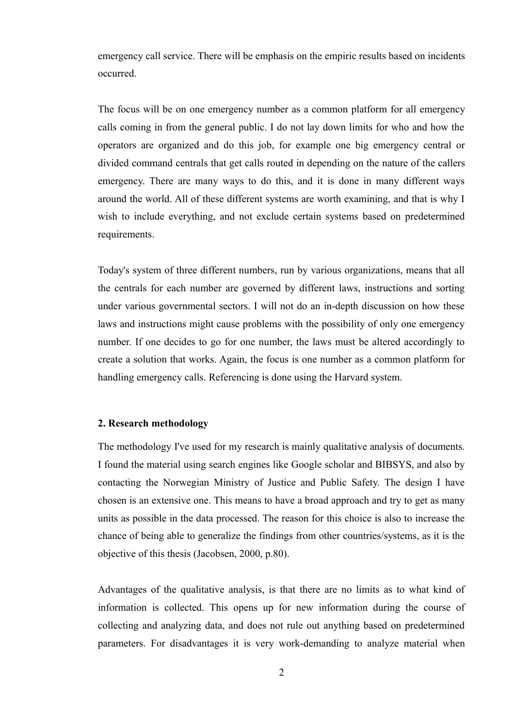emergency call service. There will be emphasis on the empiric results based on incidents occurred.

The focus will be on one emergency number as a common platform for all emergency calls coming in from the general public. I do not lay down limits for who and how the operators are organized and do this job, for example one big emergency central or divided command centrals that get calls routed in depending on the nature of the callers emergency. There are many ways to do this, and it is done in many different ways around the world. All of these different systems are worth examining, and that is why I wish to include everything, and not exclude certain systems based on predetermined requirements.

Today's system of three different numbers, run by various organizations, means that all the centrals for each number are governed by different laws, instructions and sorting under various governmental sectors. I will not do an in-depth discussion on how these laws and instructions might cause problems with the possibility of only one emergency number. If one decides to go for one number, the laws must be altered accordingly to create a solution that works. Again, the focus is one number as a common platform for handling emergency calls. Referencing is done using the Harvard system.

#### **2. Research methodology**

The methodology I've used for my research is mainly qualitative analysis of documents. I found the material using search engines like Google scholar and BIBSYS, and also by contacting the Norwegian Ministry of Justice and Public Safety. The design I have chosen is an extensive one. This means to have a broad approach and try to get as many units as possible in the data processed. The reason for this choice is also to increase the chance of being able to generalize the findings from other countries/systems, as it is the objective of this thesis (Jacobsen, 2000, p.80).

Advantages of the qualitative analysis, is that there are no limits as to what kind of information is collected. This opens up for new information during the course of collecting and analyzing data, and does not rule out anything based on predetermined parameters. For disadvantages it is very work-demanding to analyze material when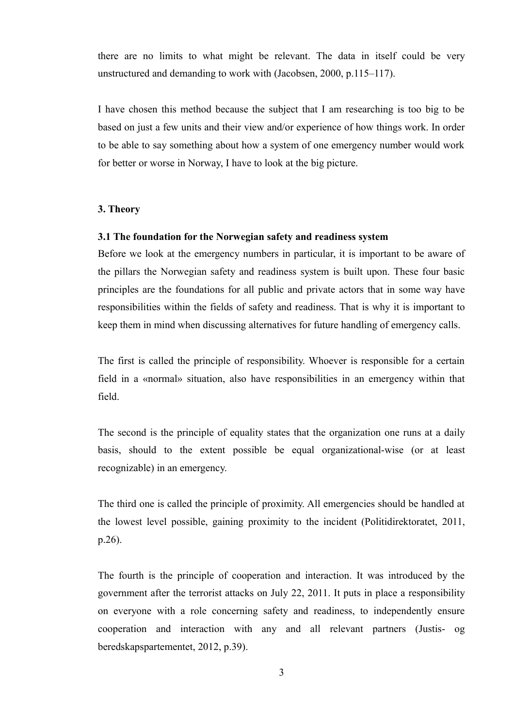there are no limits to what might be relevant. The data in itself could be very unstructured and demanding to work with (Jacobsen, 2000, p.115–117).

I have chosen this method because the subject that I am researching is too big to be based on just a few units and their view and/or experience of how things work. In order to be able to say something about how a system of one emergency number would work for better or worse in Norway, I have to look at the big picture.

#### **3. Theory**

## **3.1 The foundation for the Norwegian safety and readiness system**

Before we look at the emergency numbers in particular, it is important to be aware of the pillars the Norwegian safety and readiness system is built upon. These four basic principles are the foundations for all public and private actors that in some way have responsibilities within the fields of safety and readiness. That is why it is important to keep them in mind when discussing alternatives for future handling of emergency calls.

The first is called the principle of responsibility. Whoever is responsible for a certain field in a «normal» situation, also have responsibilities in an emergency within that field.

The second is the principle of equality states that the organization one runs at a daily basis, should to the extent possible be equal organizational-wise (or at least recognizable) in an emergency.

The third one is called the principle of proximity. All emergencies should be handled at the lowest level possible, gaining proximity to the incident (Politidirektoratet, 2011, p.26).

The fourth is the principle of cooperation and interaction. It was introduced by the government after the terrorist attacks on July 22, 2011. It puts in place a responsibility on everyone with a role concerning safety and readiness, to independently ensure cooperation and interaction with any and all relevant partners (Justis- og beredskapspartementet, 2012, p.39).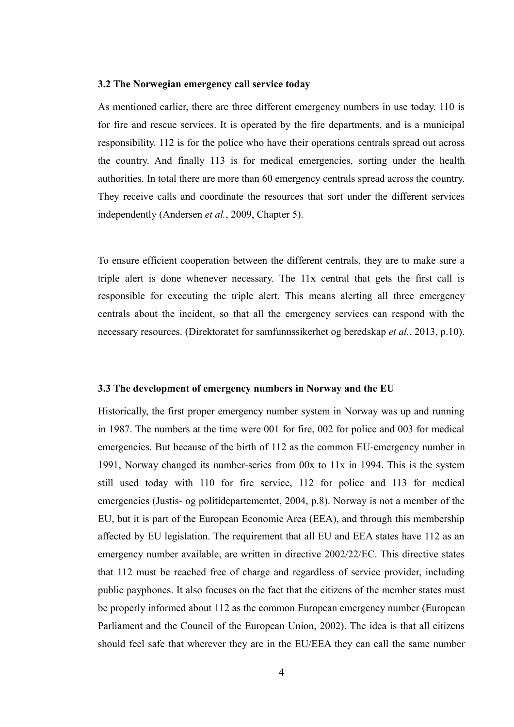#### **3.2 The Norwegian emergency call service today**

As mentioned earlier, there are three different emergency numbers in use today. 110 is for fire and rescue services. It is operated by the fire departments, and is a municipal responsibility. 112 is for the police who have their operations centrals spread out across the country. And finally 113 is for medical emergencies, sorting under the health authorities. In total there are more than 60 emergency centrals spread across the country. They receive calls and coordinate the resources that sort under the different services independently (Andersen *et al.*, 2009, Chapter 5).

To ensure efficient cooperation between the different centrals, they are to make sure a triple alert is done whenever necessary. The 11x central that gets the first call is responsible for executing the triple alert. This means alerting all three emergency centrals about the incident, so that all the emergency services can respond with the necessary resources. (Direktoratet for samfunnssikerhet og beredskap *et al.*, 2013, p.10).

#### **3.3 The development of emergency numbers in Norway and the EU**

Historically, the first proper emergency number system in Norway was up and running in 1987. The numbers at the time were 001 for fire, 002 for police and 003 for medical emergencies. But because of the birth of 112 as the common EU-emergency number in 1991, Norway changed its number-series from 00x to 11x in 1994. This is the system still used today with 110 for fire service, 112 for police and 113 for medical emergencies (Justis- og politidepartementet, 2004, p.8). Norway is not a member of the EU, but it is part of the European Economic Area (EEA), and through this membership affected by EU legislation. The requirement that all EU and EEA states have 112 as an emergency number available, are written in directive 2002/22/EC. This directive states that 112 must be reached free of charge and regardless of service provider, including public payphones. It also focuses on the fact that the citizens of the member states must be properly informed about 112 as the common European emergency number (European Parliament and the Council of the European Union, 2002). The idea is that all citizens should feel safe that wherever they are in the EU/EEA they can call the same number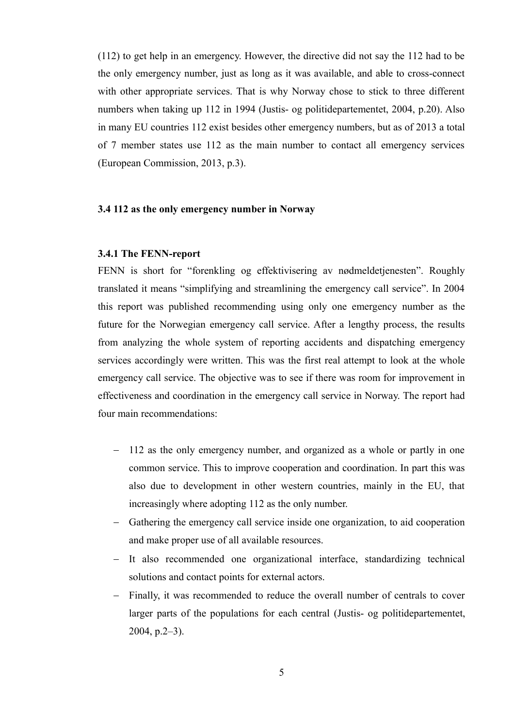(112) to get help in an emergency. However, the directive did not say the 112 had to be the only emergency number, just as long as it was available, and able to cross-connect with other appropriate services. That is why Norway chose to stick to three different numbers when taking up 112 in 1994 (Justis- og politidepartementet, 2004, p.20). Also in many EU countries 112 exist besides other emergency numbers, but as of 2013 a total of 7 member states use 112 as the main number to contact all emergency services (European Commission, 2013, p.3).

#### **3.4 112 as the only emergency number in Norway**

#### **3.4.1 The FENN-report**

FENN is short for "forenkling og effektivisering av nødmeldetjenesten". Roughly translated it means "simplifying and streamlining the emergency call service". In 2004 this report was published recommending using only one emergency number as the future for the Norwegian emergency call service. After a lengthy process, the results from analyzing the whole system of reporting accidents and dispatching emergency services accordingly were written. This was the first real attempt to look at the whole emergency call service. The objective was to see if there was room for improvement in effectiveness and coordination in the emergency call service in Norway. The report had four main recommendations:

- 112 as the only emergency number, and organized as a whole or partly in one common service. This to improve cooperation and coordination. In part this was also due to development in other western countries, mainly in the EU, that increasingly where adopting 112 as the only number.
- Gathering the emergency call service inside one organization, to aid cooperation and make proper use of all available resources.
- It also recommended one organizational interface, standardizing technical solutions and contact points for external actors.
- Finally, it was recommended to reduce the overall number of centrals to cover larger parts of the populations for each central (Justis- og politidepartementet, 2004, p.2–3).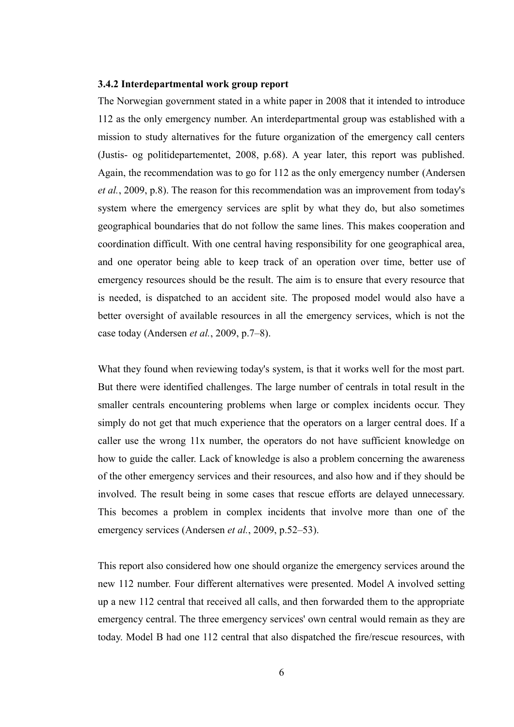#### **3.4.2 Interdepartmental work group report**

The Norwegian government stated in a white paper in 2008 that it intended to introduce 112 as the only emergency number. An interdepartmental group was established with a mission to study alternatives for the future organization of the emergency call centers (Justis- og politidepartementet, 2008, p.68). A year later, this report was published. Again, the recommendation was to go for 112 as the only emergency number (Andersen *et al.*, 2009, p.8). The reason for this recommendation was an improvement from today's system where the emergency services are split by what they do, but also sometimes geographical boundaries that do not follow the same lines. This makes cooperation and coordination difficult. With one central having responsibility for one geographical area, and one operator being able to keep track of an operation over time, better use of emergency resources should be the result. The aim is to ensure that every resource that is needed, is dispatched to an accident site. The proposed model would also have a better oversight of available resources in all the emergency services, which is not the case today (Andersen *et al.*, 2009, p.7–8).

What they found when reviewing today's system, is that it works well for the most part. But there were identified challenges. The large number of centrals in total result in the smaller centrals encountering problems when large or complex incidents occur. They simply do not get that much experience that the operators on a larger central does. If a caller use the wrong 11x number, the operators do not have sufficient knowledge on how to guide the caller. Lack of knowledge is also a problem concerning the awareness of the other emergency services and their resources, and also how and if they should be involved. The result being in some cases that rescue efforts are delayed unnecessary. This becomes a problem in complex incidents that involve more than one of the emergency services (Andersen *et al.*, 2009, p.52–53).

This report also considered how one should organize the emergency services around the new 112 number. Four different alternatives were presented. Model A involved setting up a new 112 central that received all calls, and then forwarded them to the appropriate emergency central. The three emergency services' own central would remain as they are today. Model B had one 112 central that also dispatched the fire/rescue resources, with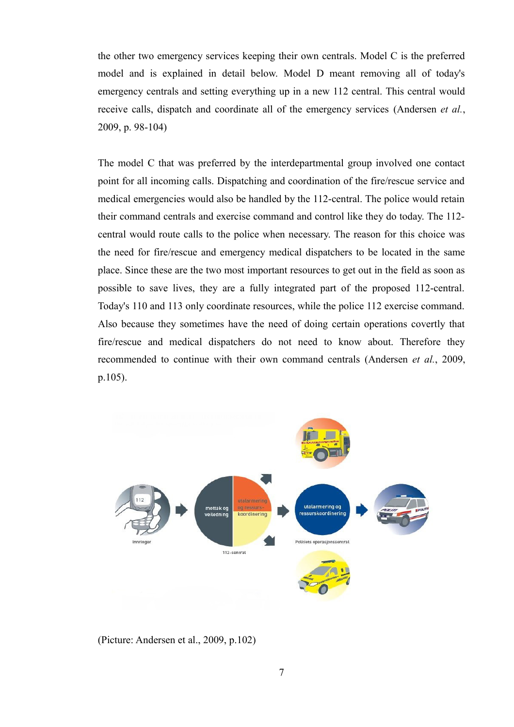the other two emergency services keeping their own centrals. Model C is the preferred model and is explained in detail below. Model D meant removing all of today's emergency centrals and setting everything up in a new 112 central. This central would receive calls, dispatch and coordinate all of the emergency services (Andersen *et al.*, 2009, p. 98-104)

The model C that was preferred by the interdepartmental group involved one contact point for all incoming calls. Dispatching and coordination of the fire/rescue service and medical emergencies would also be handled by the 112-central. The police would retain their command centrals and exercise command and control like they do today. The 112 central would route calls to the police when necessary. The reason for this choice was the need for fire/rescue and emergency medical dispatchers to be located in the same place. Since these are the two most important resources to get out in the field as soon as possible to save lives, they are a fully integrated part of the proposed 112-central. Today's 110 and 113 only coordinate resources, while the police 112 exercise command. Also because they sometimes have the need of doing certain operations covertly that fire/rescue and medical dispatchers do not need to know about. Therefore they recommended to continue with their own command centrals (Andersen *et al.*, 2009, p.105).



(Picture: Andersen et al., 2009, p.102)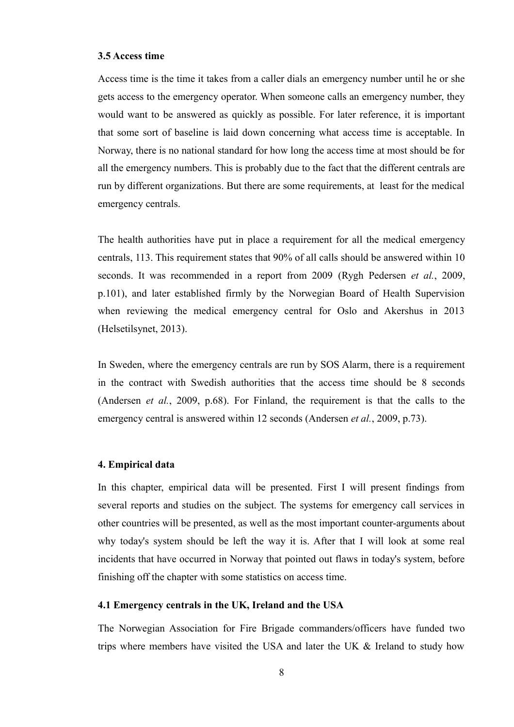#### **3.5 Access time**

Access time is the time it takes from a caller dials an emergency number until he or she gets access to the emergency operator. When someone calls an emergency number, they would want to be answered as quickly as possible. For later reference, it is important that some sort of baseline is laid down concerning what access time is acceptable. In Norway, there is no national standard for how long the access time at most should be for all the emergency numbers. This is probably due to the fact that the different centrals are run by different organizations. But there are some requirements, at least for the medical emergency centrals.

The health authorities have put in place a requirement for all the medical emergency centrals, 113. This requirement states that 90% of all calls should be answered within 10 seconds. It was recommended in a report from 2009 (Rygh Pedersen *et al.*, 2009, p.101), and later established firmly by the Norwegian Board of Health Supervision when reviewing the medical emergency central for Oslo and Akershus in 2013 (Helsetilsynet, 2013).

In Sweden, where the emergency centrals are run by SOS Alarm, there is a requirement in the contract with Swedish authorities that the access time should be 8 seconds (Andersen *et al.*, 2009, p.68). For Finland, the requirement is that the calls to the emergency central is answered within 12 seconds (Andersen *et al.*, 2009, p.73).

#### **4. Empirical data**

In this chapter, empirical data will be presented. First I will present findings from several reports and studies on the subject. The systems for emergency call services in other countries will be presented, as well as the most important counter-arguments about why today's system should be left the way it is. After that I will look at some real incidents that have occurred in Norway that pointed out flaws in today's system, before finishing off the chapter with some statistics on access time.

#### **4.1 Emergency centrals in the UK, Ireland and the USA**

The Norwegian Association for Fire Brigade commanders/officers have funded two trips where members have visited the USA and later the UK & Ireland to study how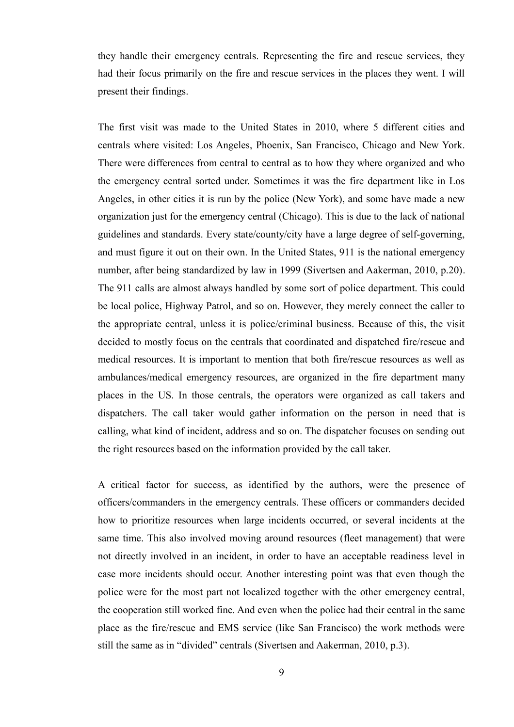they handle their emergency centrals. Representing the fire and rescue services, they had their focus primarily on the fire and rescue services in the places they went. I will present their findings.

The first visit was made to the United States in 2010, where 5 different cities and centrals where visited: Los Angeles, Phoenix, San Francisco, Chicago and New York. There were differences from central to central as to how they where organized and who the emergency central sorted under. Sometimes it was the fire department like in Los Angeles, in other cities it is run by the police (New York), and some have made a new organization just for the emergency central (Chicago). This is due to the lack of national guidelines and standards. Every state/county/city have a large degree of self-governing, and must figure it out on their own. In the United States, 911 is the national emergency number, after being standardized by law in 1999 (Sivertsen and Aakerman, 2010, p.20). The 911 calls are almost always handled by some sort of police department. This could be local police, Highway Patrol, and so on. However, they merely connect the caller to the appropriate central, unless it is police/criminal business. Because of this, the visit decided to mostly focus on the centrals that coordinated and dispatched fire/rescue and medical resources. It is important to mention that both fire/rescue resources as well as ambulances/medical emergency resources, are organized in the fire department many places in the US. In those centrals, the operators were organized as call takers and dispatchers. The call taker would gather information on the person in need that is calling, what kind of incident, address and so on. The dispatcher focuses on sending out the right resources based on the information provided by the call taker.

A critical factor for success, as identified by the authors, were the presence of officers/commanders in the emergency centrals. These officers or commanders decided how to prioritize resources when large incidents occurred, or several incidents at the same time. This also involved moving around resources (fleet management) that were not directly involved in an incident, in order to have an acceptable readiness level in case more incidents should occur. Another interesting point was that even though the police were for the most part not localized together with the other emergency central, the cooperation still worked fine. And even when the police had their central in the same place as the fire/rescue and EMS service (like San Francisco) the work methods were still the same as in "divided" centrals (Sivertsen and Aakerman, 2010, p.3).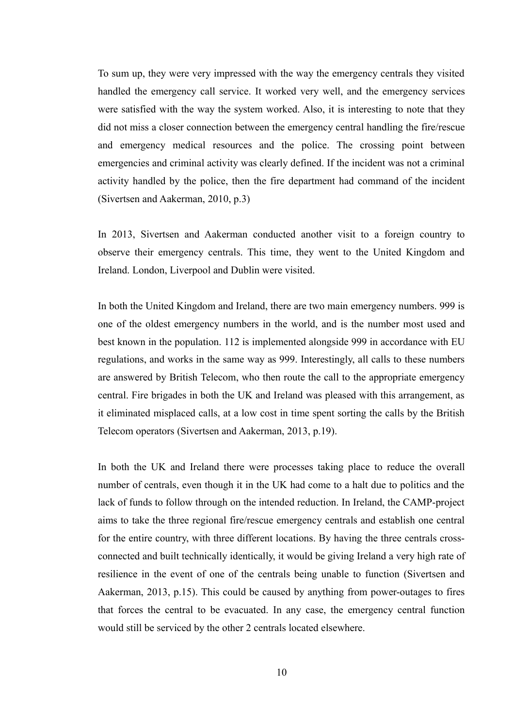To sum up, they were very impressed with the way the emergency centrals they visited handled the emergency call service. It worked very well, and the emergency services were satisfied with the way the system worked. Also, it is interesting to note that they did not miss a closer connection between the emergency central handling the fire/rescue and emergency medical resources and the police. The crossing point between emergencies and criminal activity was clearly defined. If the incident was not a criminal activity handled by the police, then the fire department had command of the incident (Sivertsen and Aakerman, 2010, p.3)

In 2013, Sivertsen and Aakerman conducted another visit to a foreign country to observe their emergency centrals. This time, they went to the United Kingdom and Ireland. London, Liverpool and Dublin were visited.

In both the United Kingdom and Ireland, there are two main emergency numbers. 999 is one of the oldest emergency numbers in the world, and is the number most used and best known in the population. 112 is implemented alongside 999 in accordance with EU regulations, and works in the same way as 999. Interestingly, all calls to these numbers are answered by British Telecom, who then route the call to the appropriate emergency central. Fire brigades in both the UK and Ireland was pleased with this arrangement, as it eliminated misplaced calls, at a low cost in time spent sorting the calls by the British Telecom operators (Sivertsen and Aakerman, 2013, p.19).

In both the UK and Ireland there were processes taking place to reduce the overall number of centrals, even though it in the UK had come to a halt due to politics and the lack of funds to follow through on the intended reduction. In Ireland, the CAMP-project aims to take the three regional fire/rescue emergency centrals and establish one central for the entire country, with three different locations. By having the three centrals crossconnected and built technically identically, it would be giving Ireland a very high rate of resilience in the event of one of the centrals being unable to function (Sivertsen and Aakerman, 2013, p.15). This could be caused by anything from power-outages to fires that forces the central to be evacuated. In any case, the emergency central function would still be serviced by the other 2 centrals located elsewhere.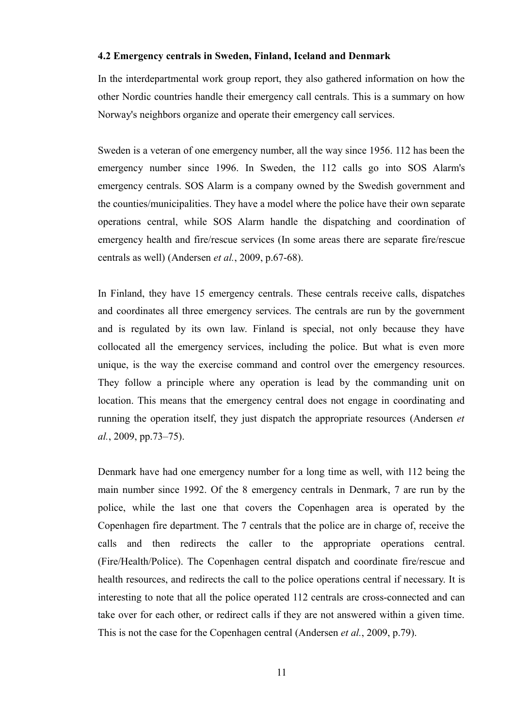#### **4.2 Emergency centrals in Sweden, Finland, Iceland and Denmark**

In the interdepartmental work group report, they also gathered information on how the other Nordic countries handle their emergency call centrals. This is a summary on how Norway's neighbors organize and operate their emergency call services.

Sweden is a veteran of one emergency number, all the way since 1956. 112 has been the emergency number since 1996. In Sweden, the 112 calls go into SOS Alarm's emergency centrals. SOS Alarm is a company owned by the Swedish government and the counties/municipalities. They have a model where the police have their own separate operations central, while SOS Alarm handle the dispatching and coordination of emergency health and fire/rescue services (In some areas there are separate fire/rescue centrals as well) (Andersen *et al.*, 2009, p.67-68).

In Finland, they have 15 emergency centrals. These centrals receive calls, dispatches and coordinates all three emergency services. The centrals are run by the government and is regulated by its own law. Finland is special, not only because they have collocated all the emergency services, including the police. But what is even more unique, is the way the exercise command and control over the emergency resources. They follow a principle where any operation is lead by the commanding unit on location. This means that the emergency central does not engage in coordinating and running the operation itself, they just dispatch the appropriate resources (Andersen *et al.*, 2009, pp.73–75).

Denmark have had one emergency number for a long time as well, with 112 being the main number since 1992. Of the 8 emergency centrals in Denmark, 7 are run by the police, while the last one that covers the Copenhagen area is operated by the Copenhagen fire department. The 7 centrals that the police are in charge of, receive the calls and then redirects the caller to the appropriate operations central. (Fire/Health/Police). The Copenhagen central dispatch and coordinate fire/rescue and health resources, and redirects the call to the police operations central if necessary. It is interesting to note that all the police operated 112 centrals are cross-connected and can take over for each other, or redirect calls if they are not answered within a given time. This is not the case for the Copenhagen central (Andersen *et al.*, 2009, p.79).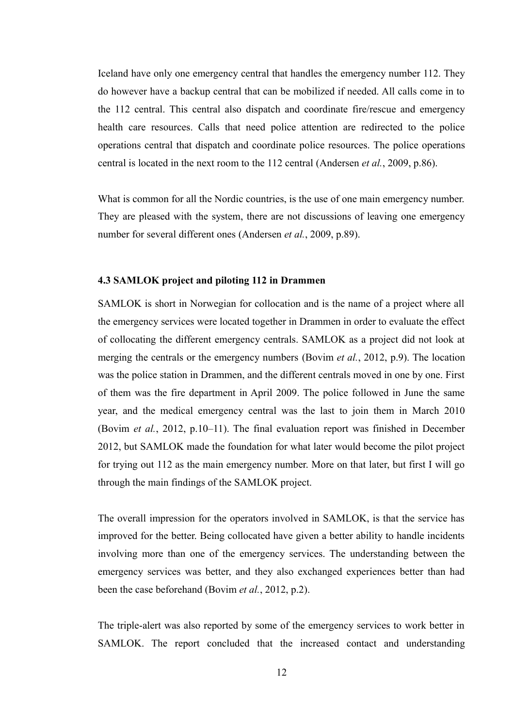Iceland have only one emergency central that handles the emergency number 112. They do however have a backup central that can be mobilized if needed. All calls come in to the 112 central. This central also dispatch and coordinate fire/rescue and emergency health care resources. Calls that need police attention are redirected to the police operations central that dispatch and coordinate police resources. The police operations central is located in the next room to the 112 central (Andersen *et al.*, 2009, p.86).

What is common for all the Nordic countries, is the use of one main emergency number. They are pleased with the system, there are not discussions of leaving one emergency number for several different ones (Andersen *et al.*, 2009, p.89).

#### **4.3 SAMLOK project and piloting 112 in Drammen**

SAMLOK is short in Norwegian for collocation and is the name of a project where all the emergency services were located together in Drammen in order to evaluate the effect of collocating the different emergency centrals. SAMLOK as a project did not look at merging the centrals or the emergency numbers (Bovim *et al.*, 2012, p.9). The location was the police station in Drammen, and the different centrals moved in one by one. First of them was the fire department in April 2009. The police followed in June the same year, and the medical emergency central was the last to join them in March 2010 (Bovim *et al.*, 2012, p.10–11). The final evaluation report was finished in December 2012, but SAMLOK made the foundation for what later would become the pilot project for trying out 112 as the main emergency number. More on that later, but first I will go through the main findings of the SAMLOK project.

The overall impression for the operators involved in SAMLOK, is that the service has improved for the better. Being collocated have given a better ability to handle incidents involving more than one of the emergency services. The understanding between the emergency services was better, and they also exchanged experiences better than had been the case beforehand (Bovim *et al.*, 2012, p.2).

The triple-alert was also reported by some of the emergency services to work better in SAMLOK. The report concluded that the increased contact and understanding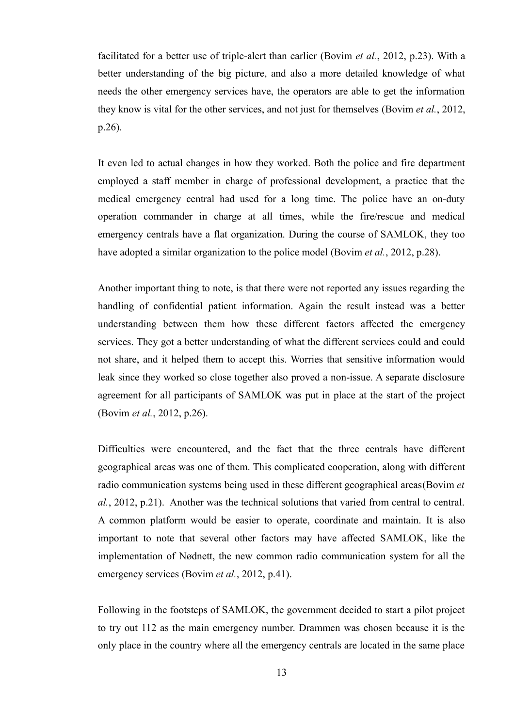facilitated for a better use of triple-alert than earlier (Bovim *et al.*, 2012, p.23). With a better understanding of the big picture, and also a more detailed knowledge of what needs the other emergency services have, the operators are able to get the information they know is vital for the other services, and not just for themselves (Bovim *et al.*, 2012, p.26).

It even led to actual changes in how they worked. Both the police and fire department employed a staff member in charge of professional development, a practice that the medical emergency central had used for a long time. The police have an on-duty operation commander in charge at all times, while the fire/rescue and medical emergency centrals have a flat organization. During the course of SAMLOK, they too have adopted a similar organization to the police model (Bovim *et al.*, 2012, p.28).

Another important thing to note, is that there were not reported any issues regarding the handling of confidential patient information. Again the result instead was a better understanding between them how these different factors affected the emergency services. They got a better understanding of what the different services could and could not share, and it helped them to accept this. Worries that sensitive information would leak since they worked so close together also proved a non-issue. A separate disclosure agreement for all participants of SAMLOK was put in place at the start of the project (Bovim *et al.*, 2012, p.26).

Difficulties were encountered, and the fact that the three centrals have different geographical areas was one of them. This complicated cooperation, along with different radio communication systems being used in these different geographical areas(Bovim *et al.*, 2012, p.21). Another was the technical solutions that varied from central to central. A common platform would be easier to operate, coordinate and maintain. It is also important to note that several other factors may have affected SAMLOK, like the implementation of Nødnett, the new common radio communication system for all the emergency services (Bovim *et al.*, 2012, p.41).

Following in the footsteps of SAMLOK, the government decided to start a pilot project to try out 112 as the main emergency number. Drammen was chosen because it is the only place in the country where all the emergency centrals are located in the same place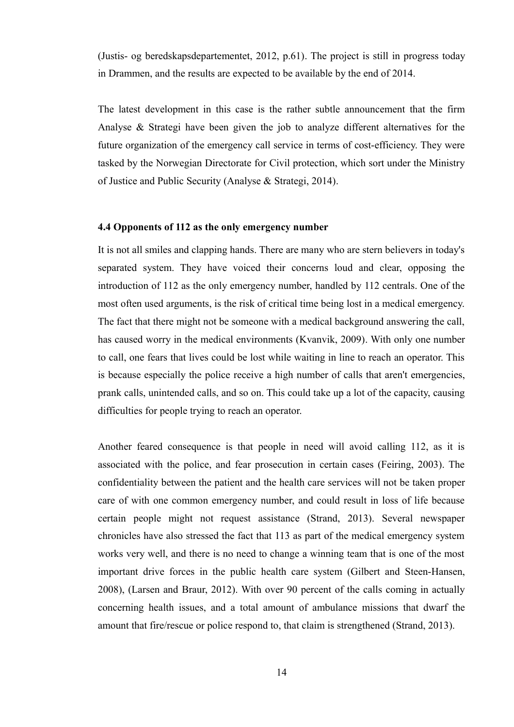(Justis- og beredskapsdepartementet, 2012, p.61). The project is still in progress today in Drammen, and the results are expected to be available by the end of 2014.

The latest development in this case is the rather subtle announcement that the firm Analyse & Strategi have been given the job to analyze different alternatives for the future organization of the emergency call service in terms of cost-efficiency. They were tasked by the Norwegian Directorate for Civil protection, which sort under the Ministry of Justice and Public Security (Analyse & Strategi, 2014).

#### **4.4 Opponents of 112 as the only emergency number**

It is not all smiles and clapping hands. There are many who are stern believers in today's separated system. They have voiced their concerns loud and clear, opposing the introduction of 112 as the only emergency number, handled by 112 centrals. One of the most often used arguments, is the risk of critical time being lost in a medical emergency. The fact that there might not be someone with a medical background answering the call, has caused worry in the medical environments (Kvanvik, 2009). With only one number to call, one fears that lives could be lost while waiting in line to reach an operator. This is because especially the police receive a high number of calls that aren't emergencies, prank calls, unintended calls, and so on. This could take up a lot of the capacity, causing difficulties for people trying to reach an operator.

Another feared consequence is that people in need will avoid calling 112, as it is associated with the police, and fear prosecution in certain cases (Feiring, 2003). The confidentiality between the patient and the health care services will not be taken proper care of with one common emergency number, and could result in loss of life because certain people might not request assistance (Strand, 2013). Several newspaper chronicles have also stressed the fact that 113 as part of the medical emergency system works very well, and there is no need to change a winning team that is one of the most important drive forces in the public health care system (Gilbert and Steen-Hansen, 2008), (Larsen and Braur, 2012). With over 90 percent of the calls coming in actually concerning health issues, and a total amount of ambulance missions that dwarf the amount that fire/rescue or police respond to, that claim is strengthened (Strand, 2013).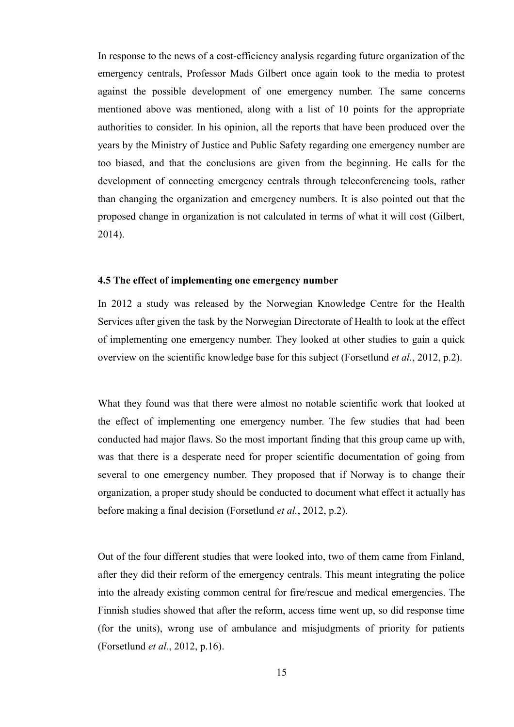In response to the news of a cost-efficiency analysis regarding future organization of the emergency centrals, Professor Mads Gilbert once again took to the media to protest against the possible development of one emergency number. The same concerns mentioned above was mentioned, along with a list of 10 points for the appropriate authorities to consider. In his opinion, all the reports that have been produced over the years by the Ministry of Justice and Public Safety regarding one emergency number are too biased, and that the conclusions are given from the beginning. He calls for the development of connecting emergency centrals through teleconferencing tools, rather than changing the organization and emergency numbers. It is also pointed out that the proposed change in organization is not calculated in terms of what it will cost (Gilbert, 2014).

#### **4.5 The effect of implementing one emergency number**

In 2012 a study was released by the Norwegian Knowledge Centre for the Health Services after given the task by the Norwegian Directorate of Health to look at the effect of implementing one emergency number. They looked at other studies to gain a quick overview on the scientific knowledge base for this subject (Forsetlund *et al.*, 2012, p.2).

What they found was that there were almost no notable scientific work that looked at the effect of implementing one emergency number. The few studies that had been conducted had major flaws. So the most important finding that this group came up with, was that there is a desperate need for proper scientific documentation of going from several to one emergency number. They proposed that if Norway is to change their organization, a proper study should be conducted to document what effect it actually has before making a final decision (Forsetlund *et al.*, 2012, p.2).

Out of the four different studies that were looked into, two of them came from Finland, after they did their reform of the emergency centrals. This meant integrating the police into the already existing common central for fire/rescue and medical emergencies. The Finnish studies showed that after the reform, access time went up, so did response time (for the units), wrong use of ambulance and misjudgments of priority for patients (Forsetlund *et al.*, 2012, p.16).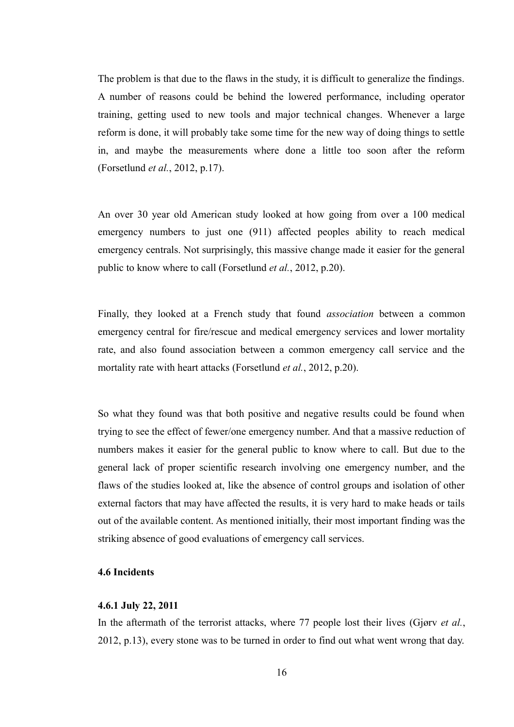The problem is that due to the flaws in the study, it is difficult to generalize the findings. A number of reasons could be behind the lowered performance, including operator training, getting used to new tools and major technical changes. Whenever a large reform is done, it will probably take some time for the new way of doing things to settle in, and maybe the measurements where done a little too soon after the reform (Forsetlund *et al.*, 2012, p.17).

An over 30 year old American study looked at how going from over a 100 medical emergency numbers to just one (911) affected peoples ability to reach medical emergency centrals. Not surprisingly, this massive change made it easier for the general public to know where to call (Forsetlund *et al.*, 2012, p.20).

Finally, they looked at a French study that found *association* between a common emergency central for fire/rescue and medical emergency services and lower mortality rate, and also found association between a common emergency call service and the mortality rate with heart attacks (Forsetlund *et al.*, 2012, p.20).

So what they found was that both positive and negative results could be found when trying to see the effect of fewer/one emergency number. And that a massive reduction of numbers makes it easier for the general public to know where to call. But due to the general lack of proper scientific research involving one emergency number, and the flaws of the studies looked at, like the absence of control groups and isolation of other external factors that may have affected the results, it is very hard to make heads or tails out of the available content. As mentioned initially, their most important finding was the striking absence of good evaluations of emergency call services.

# **4.6 Incidents**

#### **4.6.1 July 22, 2011**

In the aftermath of the terrorist attacks, where 77 people lost their lives (Gjørv *et al.*, 2012, p.13), every stone was to be turned in order to find out what went wrong that day.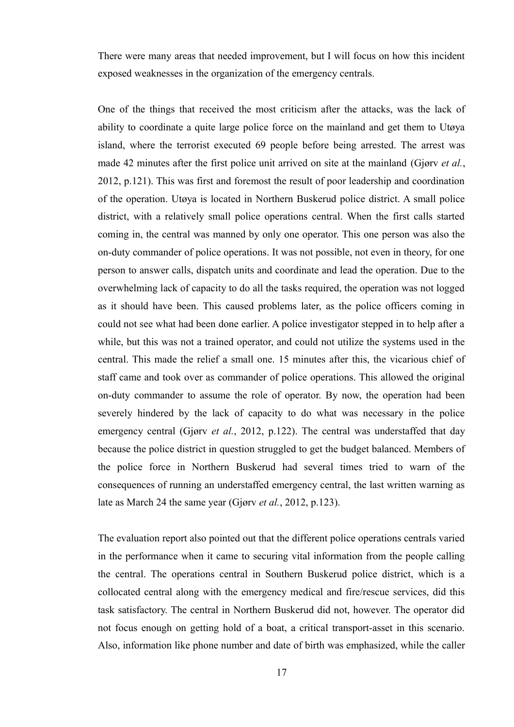There were many areas that needed improvement, but I will focus on how this incident exposed weaknesses in the organization of the emergency centrals.

One of the things that received the most criticism after the attacks, was the lack of ability to coordinate a quite large police force on the mainland and get them to Utøya island, where the terrorist executed 69 people before being arrested. The arrest was made 42 minutes after the first police unit arrived on site at the mainland (Gjørv *et al.*, 2012, p.121). This was first and foremost the result of poor leadership and coordination of the operation. Utøya is located in Northern Buskerud police district. A small police district, with a relatively small police operations central. When the first calls started coming in, the central was manned by only one operator. This one person was also the on-duty commander of police operations. It was not possible, not even in theory, for one person to answer calls, dispatch units and coordinate and lead the operation. Due to the overwhelming lack of capacity to do all the tasks required, the operation was not logged as it should have been. This caused problems later, as the police officers coming in could not see what had been done earlier. A police investigator stepped in to help after a while, but this was not a trained operator, and could not utilize the systems used in the central. This made the relief a small one. 15 minutes after this, the vicarious chief of staff came and took over as commander of police operations. This allowed the original on-duty commander to assume the role of operator. By now, the operation had been severely hindered by the lack of capacity to do what was necessary in the police emergency central (Gjørv *et al.*, 2012, p.122). The central was understaffed that day because the police district in question struggled to get the budget balanced. Members of the police force in Northern Buskerud had several times tried to warn of the consequences of running an understaffed emergency central, the last written warning as late as March 24 the same year (Gjørv *et al.*, 2012, p.123).

The evaluation report also pointed out that the different police operations centrals varied in the performance when it came to securing vital information from the people calling the central. The operations central in Southern Buskerud police district, which is a collocated central along with the emergency medical and fire/rescue services, did this task satisfactory. The central in Northern Buskerud did not, however. The operator did not focus enough on getting hold of a boat, a critical transport-asset in this scenario. Also, information like phone number and date of birth was emphasized, while the caller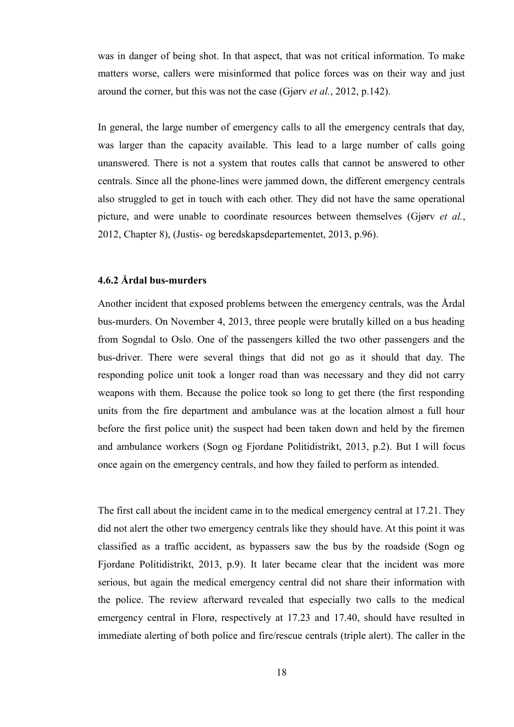was in danger of being shot. In that aspect, that was not critical information. To make matters worse, callers were misinformed that police forces was on their way and just around the corner, but this was not the case (Gjørv *et al.*, 2012, p.142).

In general, the large number of emergency calls to all the emergency centrals that day, was larger than the capacity available. This lead to a large number of calls going unanswered. There is not a system that routes calls that cannot be answered to other centrals. Since all the phone-lines were jammed down, the different emergency centrals also struggled to get in touch with each other. They did not have the same operational picture, and were unable to coordinate resources between themselves (Gjørv *et al.*, 2012, Chapter 8), (Justis- og beredskapsdepartementet, 2013, p.96).

# **4.6.2 Årdal bus-murders**

Another incident that exposed problems between the emergency centrals, was the Årdal bus-murders. On November 4, 2013, three people were brutally killed on a bus heading from Sogndal to Oslo. One of the passengers killed the two other passengers and the bus-driver. There were several things that did not go as it should that day. The responding police unit took a longer road than was necessary and they did not carry weapons with them. Because the police took so long to get there (the first responding units from the fire department and ambulance was at the location almost a full hour before the first police unit) the suspect had been taken down and held by the firemen and ambulance workers (Sogn og Fjordane Politidistrikt, 2013, p.2). But I will focus once again on the emergency centrals, and how they failed to perform as intended.

The first call about the incident came in to the medical emergency central at 17.21. They did not alert the other two emergency centrals like they should have. At this point it was classified as a traffic accident, as bypassers saw the bus by the roadside (Sogn og Fjordane Politidistrikt, 2013, p.9). It later became clear that the incident was more serious, but again the medical emergency central did not share their information with the police. The review afterward revealed that especially two calls to the medical emergency central in Florø, respectively at 17.23 and 17.40, should have resulted in immediate alerting of both police and fire/rescue centrals (triple alert). The caller in the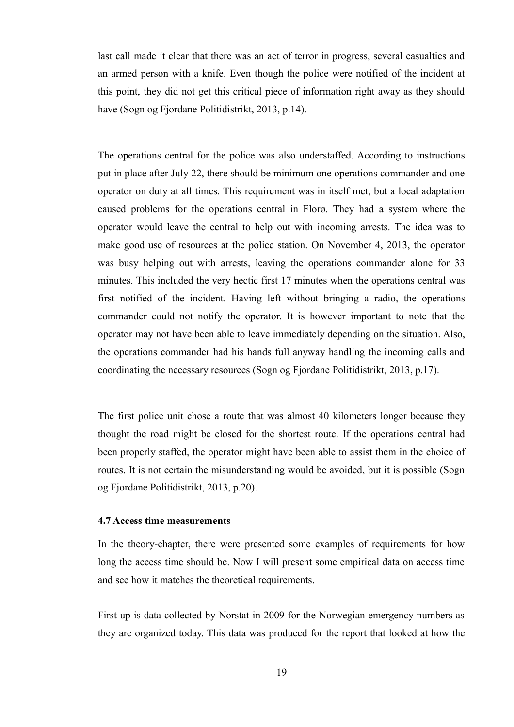last call made it clear that there was an act of terror in progress, several casualties and an armed person with a knife. Even though the police were notified of the incident at this point, they did not get this critical piece of information right away as they should have (Sogn og Fjordane Politidistrikt, 2013, p.14).

The operations central for the police was also understaffed. According to instructions put in place after July 22, there should be minimum one operations commander and one operator on duty at all times. This requirement was in itself met, but a local adaptation caused problems for the operations central in Florø. They had a system where the operator would leave the central to help out with incoming arrests. The idea was to make good use of resources at the police station. On November 4, 2013, the operator was busy helping out with arrests, leaving the operations commander alone for 33 minutes. This included the very hectic first 17 minutes when the operations central was first notified of the incident. Having left without bringing a radio, the operations commander could not notify the operator. It is however important to note that the operator may not have been able to leave immediately depending on the situation. Also, the operations commander had his hands full anyway handling the incoming calls and coordinating the necessary resources (Sogn og Fjordane Politidistrikt, 2013, p.17).

The first police unit chose a route that was almost 40 kilometers longer because they thought the road might be closed for the shortest route. If the operations central had been properly staffed, the operator might have been able to assist them in the choice of routes. It is not certain the misunderstanding would be avoided, but it is possible (Sogn og Fjordane Politidistrikt, 2013, p.20).

#### **4.7 Access time measurements**

In the theory-chapter, there were presented some examples of requirements for how long the access time should be. Now I will present some empirical data on access time and see how it matches the theoretical requirements.

First up is data collected by Norstat in 2009 for the Norwegian emergency numbers as they are organized today. This data was produced for the report that looked at how the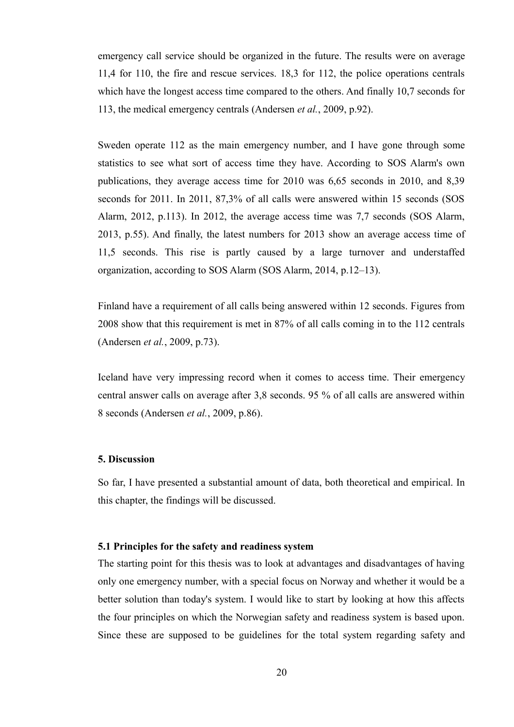emergency call service should be organized in the future. The results were on average 11,4 for 110, the fire and rescue services. 18,3 for 112, the police operations centrals which have the longest access time compared to the others. And finally 10,7 seconds for 113, the medical emergency centrals (Andersen *et al.*, 2009, p.92).

Sweden operate 112 as the main emergency number, and I have gone through some statistics to see what sort of access time they have. According to SOS Alarm's own publications, they average access time for 2010 was 6,65 seconds in 2010, and 8,39 seconds for 2011. In 2011, 87,3% of all calls were answered within 15 seconds (SOS Alarm, 2012, p.113). In 2012, the average access time was 7,7 seconds (SOS Alarm, 2013, p.55). And finally, the latest numbers for 2013 show an average access time of 11,5 seconds. This rise is partly caused by a large turnover and understaffed organization, according to SOS Alarm (SOS Alarm, 2014, p.12–13).

Finland have a requirement of all calls being answered within 12 seconds. Figures from 2008 show that this requirement is met in 87% of all calls coming in to the 112 centrals (Andersen *et al.*, 2009, p.73).

Iceland have very impressing record when it comes to access time. Their emergency central answer calls on average after 3,8 seconds. 95 % of all calls are answered within 8 seconds (Andersen *et al.*, 2009, p.86).

## **5. Discussion**

So far, I have presented a substantial amount of data, both theoretical and empirical. In this chapter, the findings will be discussed.

## **5.1 Principles for the safety and readiness system**

The starting point for this thesis was to look at advantages and disadvantages of having only one emergency number, with a special focus on Norway and whether it would be a better solution than today's system. I would like to start by looking at how this affects the four principles on which the Norwegian safety and readiness system is based upon. Since these are supposed to be guidelines for the total system regarding safety and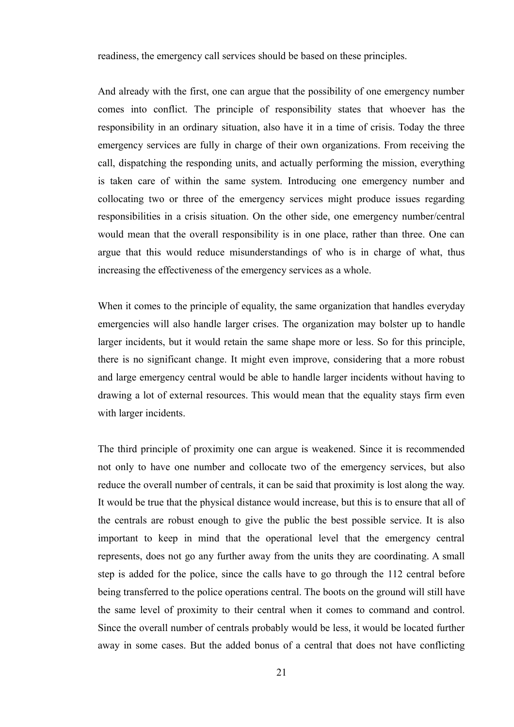readiness, the emergency call services should be based on these principles.

And already with the first, one can argue that the possibility of one emergency number comes into conflict. The principle of responsibility states that whoever has the responsibility in an ordinary situation, also have it in a time of crisis. Today the three emergency services are fully in charge of their own organizations. From receiving the call, dispatching the responding units, and actually performing the mission, everything is taken care of within the same system. Introducing one emergency number and collocating two or three of the emergency services might produce issues regarding responsibilities in a crisis situation. On the other side, one emergency number/central would mean that the overall responsibility is in one place, rather than three. One can argue that this would reduce misunderstandings of who is in charge of what, thus increasing the effectiveness of the emergency services as a whole.

When it comes to the principle of equality, the same organization that handles everyday emergencies will also handle larger crises. The organization may bolster up to handle larger incidents, but it would retain the same shape more or less. So for this principle, there is no significant change. It might even improve, considering that a more robust and large emergency central would be able to handle larger incidents without having to drawing a lot of external resources. This would mean that the equality stays firm even with larger incidents.

The third principle of proximity one can argue is weakened. Since it is recommended not only to have one number and collocate two of the emergency services, but also reduce the overall number of centrals, it can be said that proximity is lost along the way. It would be true that the physical distance would increase, but this is to ensure that all of the centrals are robust enough to give the public the best possible service. It is also important to keep in mind that the operational level that the emergency central represents, does not go any further away from the units they are coordinating. A small step is added for the police, since the calls have to go through the 112 central before being transferred to the police operations central. The boots on the ground will still have the same level of proximity to their central when it comes to command and control. Since the overall number of centrals probably would be less, it would be located further away in some cases. But the added bonus of a central that does not have conflicting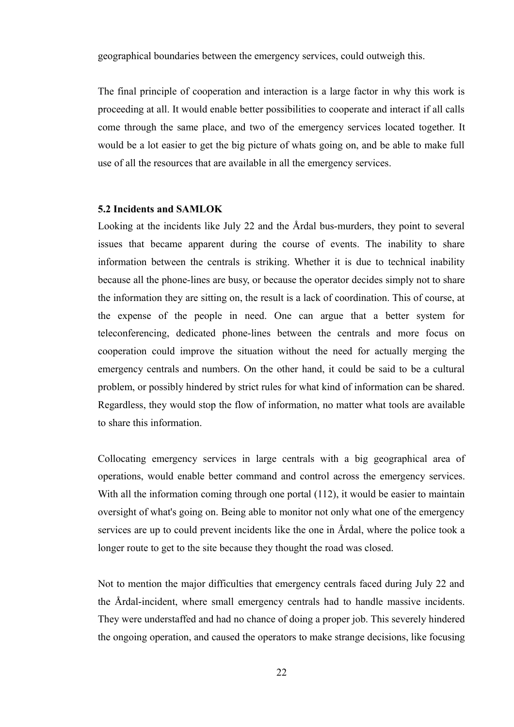geographical boundaries between the emergency services, could outweigh this.

The final principle of cooperation and interaction is a large factor in why this work is proceeding at all. It would enable better possibilities to cooperate and interact if all calls come through the same place, and two of the emergency services located together. It would be a lot easier to get the big picture of whats going on, and be able to make full use of all the resources that are available in all the emergency services.

#### **5.2 Incidents and SAMLOK**

Looking at the incidents like July 22 and the Årdal bus-murders, they point to several issues that became apparent during the course of events. The inability to share information between the centrals is striking. Whether it is due to technical inability because all the phone-lines are busy, or because the operator decides simply not to share the information they are sitting on, the result is a lack of coordination. This of course, at the expense of the people in need. One can argue that a better system for teleconferencing, dedicated phone-lines between the centrals and more focus on cooperation could improve the situation without the need for actually merging the emergency centrals and numbers. On the other hand, it could be said to be a cultural problem, or possibly hindered by strict rules for what kind of information can be shared. Regardless, they would stop the flow of information, no matter what tools are available to share this information.

Collocating emergency services in large centrals with a big geographical area of operations, would enable better command and control across the emergency services. With all the information coming through one portal (112), it would be easier to maintain oversight of what's going on. Being able to monitor not only what one of the emergency services are up to could prevent incidents like the one in Årdal, where the police took a longer route to get to the site because they thought the road was closed.

Not to mention the major difficulties that emergency centrals faced during July 22 and the Årdal-incident, where small emergency centrals had to handle massive incidents. They were understaffed and had no chance of doing a proper job. This severely hindered the ongoing operation, and caused the operators to make strange decisions, like focusing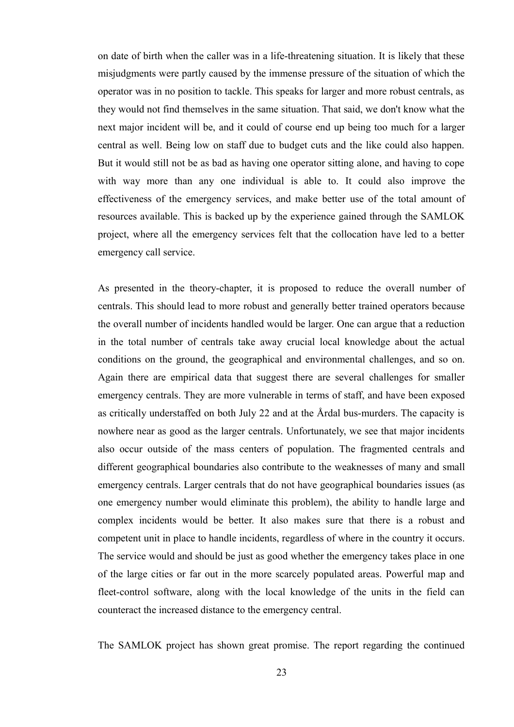on date of birth when the caller was in a life-threatening situation. It is likely that these misjudgments were partly caused by the immense pressure of the situation of which the operator was in no position to tackle. This speaks for larger and more robust centrals, as they would not find themselves in the same situation. That said, we don't know what the next major incident will be, and it could of course end up being too much for a larger central as well. Being low on staff due to budget cuts and the like could also happen. But it would still not be as bad as having one operator sitting alone, and having to cope with way more than any one individual is able to. It could also improve the effectiveness of the emergency services, and make better use of the total amount of resources available. This is backed up by the experience gained through the SAMLOK project, where all the emergency services felt that the collocation have led to a better emergency call service.

As presented in the theory-chapter, it is proposed to reduce the overall number of centrals. This should lead to more robust and generally better trained operators because the overall number of incidents handled would be larger. One can argue that a reduction in the total number of centrals take away crucial local knowledge about the actual conditions on the ground, the geographical and environmental challenges, and so on. Again there are empirical data that suggest there are several challenges for smaller emergency centrals. They are more vulnerable in terms of staff, and have been exposed as critically understaffed on both July 22 and at the Årdal bus-murders. The capacity is nowhere near as good as the larger centrals. Unfortunately, we see that major incidents also occur outside of the mass centers of population. The fragmented centrals and different geographical boundaries also contribute to the weaknesses of many and small emergency centrals. Larger centrals that do not have geographical boundaries issues (as one emergency number would eliminate this problem), the ability to handle large and complex incidents would be better. It also makes sure that there is a robust and competent unit in place to handle incidents, regardless of where in the country it occurs. The service would and should be just as good whether the emergency takes place in one of the large cities or far out in the more scarcely populated areas. Powerful map and fleet-control software, along with the local knowledge of the units in the field can counteract the increased distance to the emergency central.

The SAMLOK project has shown great promise. The report regarding the continued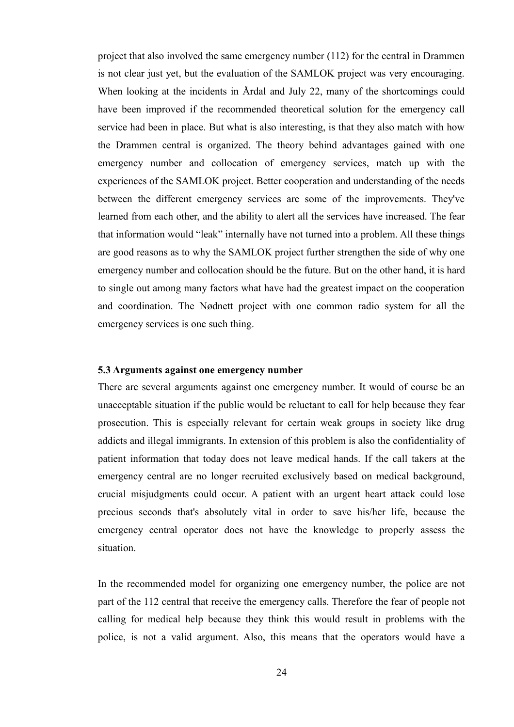project that also involved the same emergency number (112) for the central in Drammen is not clear just yet, but the evaluation of the SAMLOK project was very encouraging. When looking at the incidents in Årdal and July 22, many of the shortcomings could have been improved if the recommended theoretical solution for the emergency call service had been in place. But what is also interesting, is that they also match with how the Drammen central is organized. The theory behind advantages gained with one emergency number and collocation of emergency services, match up with the experiences of the SAMLOK project. Better cooperation and understanding of the needs between the different emergency services are some of the improvements. They've learned from each other, and the ability to alert all the services have increased. The fear that information would "leak" internally have not turned into a problem. All these things are good reasons as to why the SAMLOK project further strengthen the side of why one emergency number and collocation should be the future. But on the other hand, it is hard to single out among many factors what have had the greatest impact on the cooperation and coordination. The Nødnett project with one common radio system for all the emergency services is one such thing.

#### **5.3 Arguments against one emergency number**

There are several arguments against one emergency number. It would of course be an unacceptable situation if the public would be reluctant to call for help because they fear prosecution. This is especially relevant for certain weak groups in society like drug addicts and illegal immigrants. In extension of this problem is also the confidentiality of patient information that today does not leave medical hands. If the call takers at the emergency central are no longer recruited exclusively based on medical background, crucial misjudgments could occur. A patient with an urgent heart attack could lose precious seconds that's absolutely vital in order to save his/her life, because the emergency central operator does not have the knowledge to properly assess the situation.

In the recommended model for organizing one emergency number, the police are not part of the 112 central that receive the emergency calls. Therefore the fear of people not calling for medical help because they think this would result in problems with the police, is not a valid argument. Also, this means that the operators would have a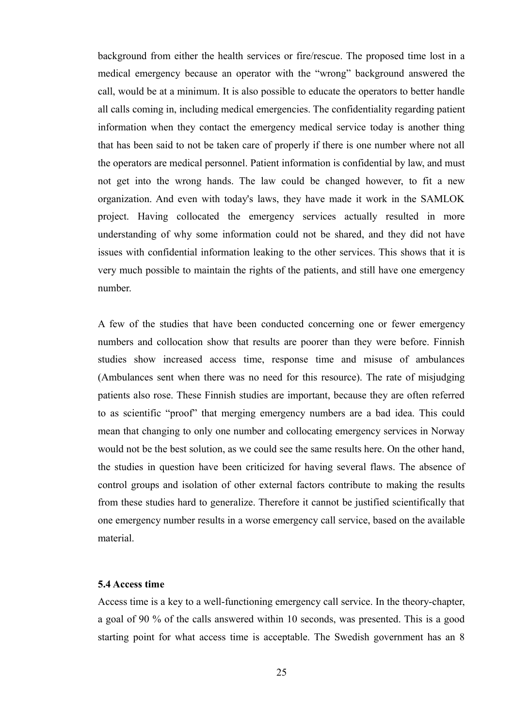background from either the health services or fire/rescue. The proposed time lost in a medical emergency because an operator with the "wrong" background answered the call, would be at a minimum. It is also possible to educate the operators to better handle all calls coming in, including medical emergencies. The confidentiality regarding patient information when they contact the emergency medical service today is another thing that has been said to not be taken care of properly if there is one number where not all the operators are medical personnel. Patient information is confidential by law, and must not get into the wrong hands. The law could be changed however, to fit a new organization. And even with today's laws, they have made it work in the SAMLOK project. Having collocated the emergency services actually resulted in more understanding of why some information could not be shared, and they did not have issues with confidential information leaking to the other services. This shows that it is very much possible to maintain the rights of the patients, and still have one emergency number.

A few of the studies that have been conducted concerning one or fewer emergency numbers and collocation show that results are poorer than they were before. Finnish studies show increased access time, response time and misuse of ambulances (Ambulances sent when there was no need for this resource). The rate of misjudging patients also rose. These Finnish studies are important, because they are often referred to as scientific "proof" that merging emergency numbers are a bad idea. This could mean that changing to only one number and collocating emergency services in Norway would not be the best solution, as we could see the same results here. On the other hand, the studies in question have been criticized for having several flaws. The absence of control groups and isolation of other external factors contribute to making the results from these studies hard to generalize. Therefore it cannot be justified scientifically that one emergency number results in a worse emergency call service, based on the available material.

#### **5.4 Access time**

Access time is a key to a well-functioning emergency call service. In the theory-chapter, a goal of 90 % of the calls answered within 10 seconds, was presented. This is a good starting point for what access time is acceptable. The Swedish government has an 8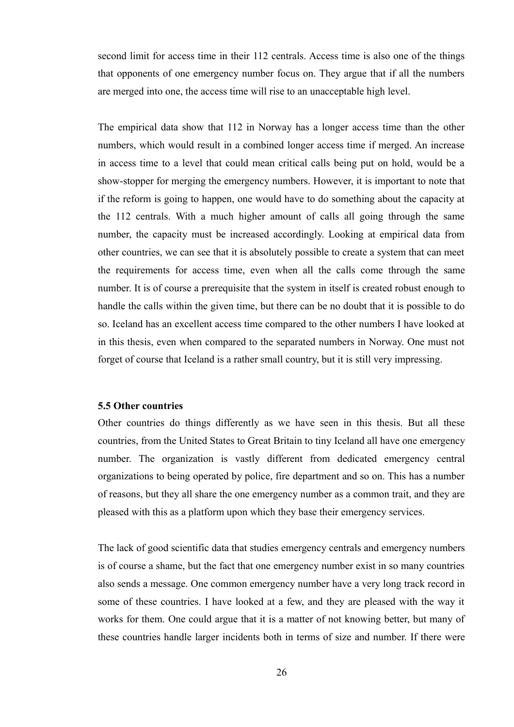second limit for access time in their 112 centrals. Access time is also one of the things that opponents of one emergency number focus on. They argue that if all the numbers are merged into one, the access time will rise to an unacceptable high level.

The empirical data show that 112 in Norway has a longer access time than the other numbers, which would result in a combined longer access time if merged. An increase in access time to a level that could mean critical calls being put on hold, would be a show-stopper for merging the emergency numbers. However, it is important to note that if the reform is going to happen, one would have to do something about the capacity at the 112 centrals. With a much higher amount of calls all going through the same number, the capacity must be increased accordingly. Looking at empirical data from other countries, we can see that it is absolutely possible to create a system that can meet the requirements for access time, even when all the calls come through the same number. It is of course a prerequisite that the system in itself is created robust enough to handle the calls within the given time, but there can be no doubt that it is possible to do so. Iceland has an excellent access time compared to the other numbers I have looked at in this thesis, even when compared to the separated numbers in Norway. One must not forget of course that Iceland is a rather small country, but it is still very impressing.

#### **5.5 Other countries**

Other countries do things differently as we have seen in this thesis. But all these countries, from the United States to Great Britain to tiny Iceland all have one emergency number. The organization is vastly different from dedicated emergency central organizations to being operated by police, fire department and so on. This has a number of reasons, but they all share the one emergency number as a common trait, and they are pleased with this as a platform upon which they base their emergency services.

The lack of good scientific data that studies emergency centrals and emergency numbers is of course a shame, but the fact that one emergency number exist in so many countries also sends a message. One common emergency number have a very long track record in some of these countries. I have looked at a few, and they are pleased with the way it works for them. One could argue that it is a matter of not knowing better, but many of these countries handle larger incidents both in terms of size and number. If there were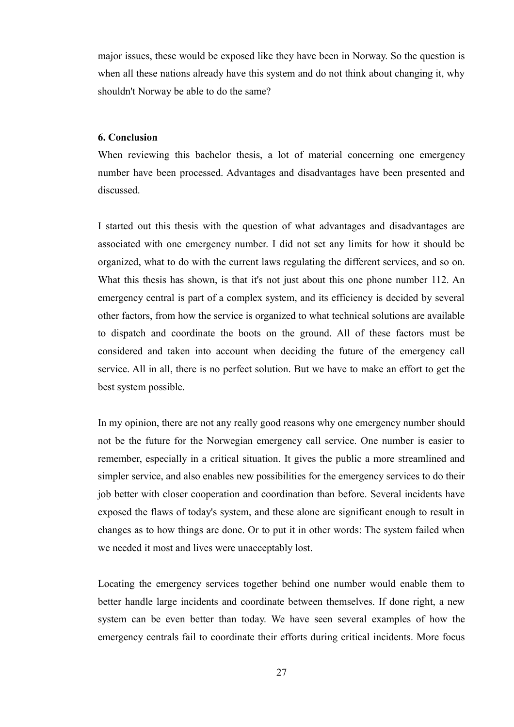major issues, these would be exposed like they have been in Norway. So the question is when all these nations already have this system and do not think about changing it, why shouldn't Norway be able to do the same?

#### **6. Conclusion**

When reviewing this bachelor thesis, a lot of material concerning one emergency number have been processed. Advantages and disadvantages have been presented and discussed.

I started out this thesis with the question of what advantages and disadvantages are associated with one emergency number. I did not set any limits for how it should be organized, what to do with the current laws regulating the different services, and so on. What this thesis has shown, is that it's not just about this one phone number 112. An emergency central is part of a complex system, and its efficiency is decided by several other factors, from how the service is organized to what technical solutions are available to dispatch and coordinate the boots on the ground. All of these factors must be considered and taken into account when deciding the future of the emergency call service. All in all, there is no perfect solution. But we have to make an effort to get the best system possible.

In my opinion, there are not any really good reasons why one emergency number should not be the future for the Norwegian emergency call service. One number is easier to remember, especially in a critical situation. It gives the public a more streamlined and simpler service, and also enables new possibilities for the emergency services to do their job better with closer cooperation and coordination than before. Several incidents have exposed the flaws of today's system, and these alone are significant enough to result in changes as to how things are done. Or to put it in other words: The system failed when we needed it most and lives were unacceptably lost.

Locating the emergency services together behind one number would enable them to better handle large incidents and coordinate between themselves. If done right, a new system can be even better than today. We have seen several examples of how the emergency centrals fail to coordinate their efforts during critical incidents. More focus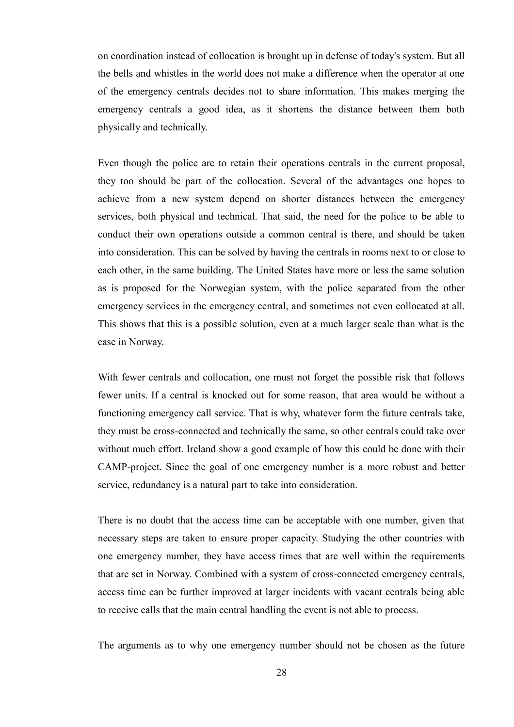on coordination instead of collocation is brought up in defense of today's system. But all the bells and whistles in the world does not make a difference when the operator at one of the emergency centrals decides not to share information. This makes merging the emergency centrals a good idea, as it shortens the distance between them both physically and technically.

Even though the police are to retain their operations centrals in the current proposal, they too should be part of the collocation. Several of the advantages one hopes to achieve from a new system depend on shorter distances between the emergency services, both physical and technical. That said, the need for the police to be able to conduct their own operations outside a common central is there, and should be taken into consideration. This can be solved by having the centrals in rooms next to or close to each other, in the same building. The United States have more or less the same solution as is proposed for the Norwegian system, with the police separated from the other emergency services in the emergency central, and sometimes not even collocated at all. This shows that this is a possible solution, even at a much larger scale than what is the case in Norway.

With fewer centrals and collocation, one must not forget the possible risk that follows fewer units. If a central is knocked out for some reason, that area would be without a functioning emergency call service. That is why, whatever form the future centrals take, they must be cross-connected and technically the same, so other centrals could take over without much effort. Ireland show a good example of how this could be done with their CAMP-project. Since the goal of one emergency number is a more robust and better service, redundancy is a natural part to take into consideration.

There is no doubt that the access time can be acceptable with one number, given that necessary steps are taken to ensure proper capacity. Studying the other countries with one emergency number, they have access times that are well within the requirements that are set in Norway. Combined with a system of cross-connected emergency centrals, access time can be further improved at larger incidents with vacant centrals being able to receive calls that the main central handling the event is not able to process.

The arguments as to why one emergency number should not be chosen as the future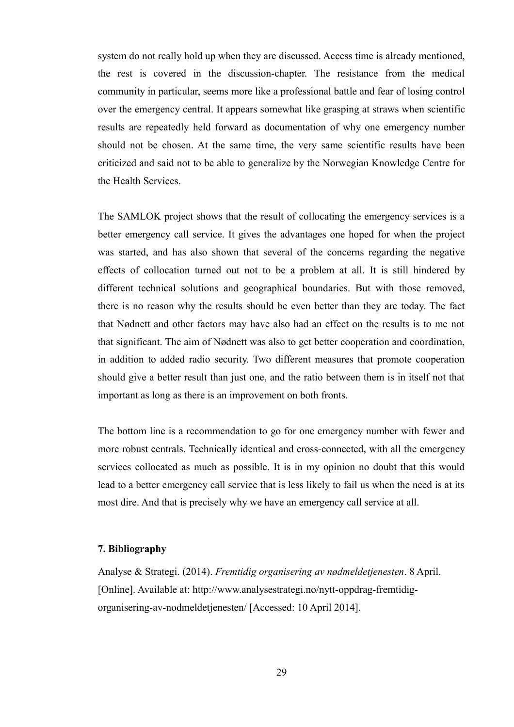system do not really hold up when they are discussed. Access time is already mentioned, the rest is covered in the discussion-chapter. The resistance from the medical community in particular, seems more like a professional battle and fear of losing control over the emergency central. It appears somewhat like grasping at straws when scientific results are repeatedly held forward as documentation of why one emergency number should not be chosen. At the same time, the very same scientific results have been criticized and said not to be able to generalize by the Norwegian Knowledge Centre for the Health Services.

The SAMLOK project shows that the result of collocating the emergency services is a better emergency call service. It gives the advantages one hoped for when the project was started, and has also shown that several of the concerns regarding the negative effects of collocation turned out not to be a problem at all. It is still hindered by different technical solutions and geographical boundaries. But with those removed, there is no reason why the results should be even better than they are today. The fact that Nødnett and other factors may have also had an effect on the results is to me not that significant. The aim of Nødnett was also to get better cooperation and coordination, in addition to added radio security. Two different measures that promote cooperation should give a better result than just one, and the ratio between them is in itself not that important as long as there is an improvement on both fronts.

The bottom line is a recommendation to go for one emergency number with fewer and more robust centrals. Technically identical and cross-connected, with all the emergency services collocated as much as possible. It is in my opinion no doubt that this would lead to a better emergency call service that is less likely to fail us when the need is at its most dire. And that is precisely why we have an emergency call service at all.

#### **7. Bibliography**

Analyse & Strategi. (2014). *Fremtidig organisering av nødmeldetjenesten*. 8 April. [Online]. Available at: http://www.analysestrategi.no/nytt-oppdrag-fremtidigorganisering-av-nodmeldetjenesten/ [Accessed: 10 April 2014].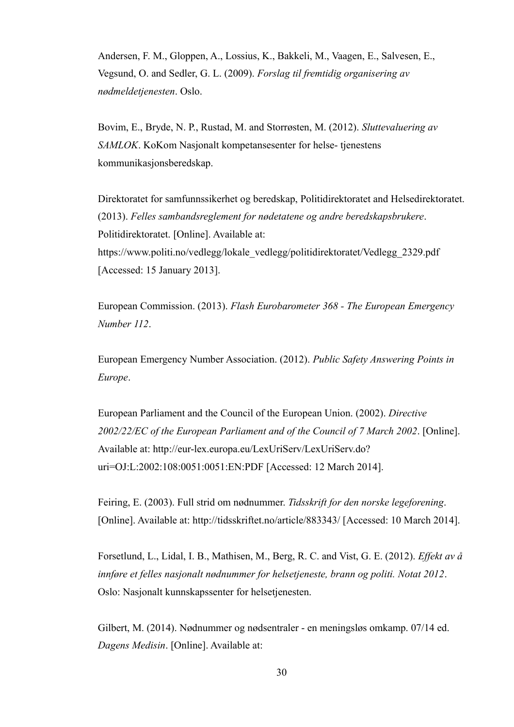Andersen, F. M., Gloppen, A., Lossius, K., Bakkeli, M., Vaagen, E., Salvesen, E., Vegsund, O. and Sedler, G. L. (2009). *Forslag til fremtidig organisering av nødmeldetjenesten*. Oslo.

Bovim, E., Bryde, N. P., Rustad, M. and Storrøsten, M. (2012). *Sluttevaluering av SAMLOK*. KoKom Nasjonalt kompetansesenter for helse- tjenestens kommunikasjonsberedskap.

Direktoratet for samfunnssikerhet og beredskap, Politidirektoratet and Helsedirektoratet. (2013). *Felles sambandsreglement for nødetatene og andre beredskapsbrukere*. Politidirektoratet. [Online]. Available at: https://www.politi.no/vedlegg/lokale\_vedlegg/politidirektoratet/Vedlegg\_2329.pdf [Accessed: 15 January 2013].

European Commission. (2013). *Flash Eurobarometer 368 - The European Emergency Number 112*.

European Emergency Number Association. (2012). *Public Safety Answering Points in Europe*.

European Parliament and the Council of the European Union. (2002). *Directive 2002/22/EC of the European Parliament and of the Council of 7 March 2002*. [Online]. Available at: http://eur-lex.europa.eu/LexUriServ/LexUriServ.do? uri=OJ:L:2002:108:0051:0051:EN:PDF [Accessed: 12 March 2014].

Feiring, E. (2003). Full strid om nødnummer. *Tidsskrift for den norske legeforening*. [Online]. Available at: http://tidsskriftet.no/article/883343/ [Accessed: 10 March 2014].

Forsetlund, L., Lidal, I. B., Mathisen, M., Berg, R. C. and Vist, G. E. (2012). *Effekt av å innføre et felles nasjonalt nødnummer for helsetjeneste, brann og politi. Notat 2012*. Oslo: Nasjonalt kunnskapssenter for helsetjenesten.

Gilbert, M. (2014). Nødnummer og nødsentraler - en meningsløs omkamp. 07/14 ed. *Dagens Medisin*. [Online]. Available at: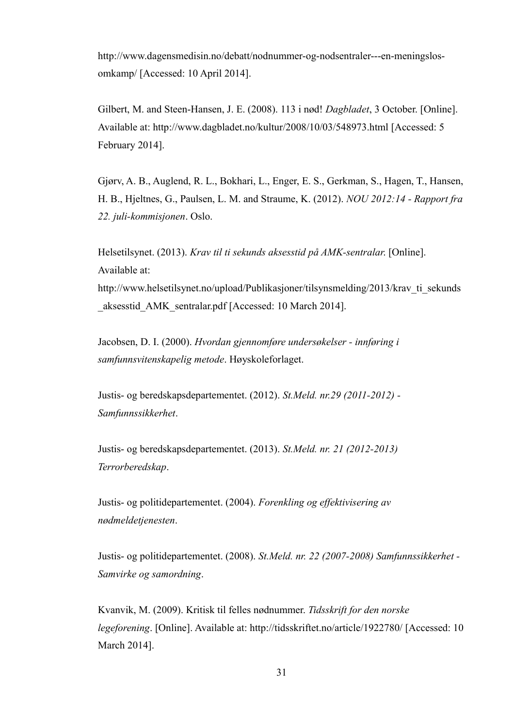http://www.dagensmedisin.no/debatt/nodnummer-og-nodsentraler---en-meningslosomkamp/ [Accessed: 10 April 2014].

Gilbert, M. and Steen-Hansen, J. E. (2008). 113 i nød! *Dagbladet*, 3 October. [Online]. Available at: http://www.dagbladet.no/kultur/2008/10/03/548973.html [Accessed: 5 February 2014].

Gjørv, A. B., Auglend, R. L., Bokhari, L., Enger, E. S., Gerkman, S., Hagen, T., Hansen, H. B., Hjeltnes, G., Paulsen, L. M. and Straume, K. (2012). *NOU 2012:14 - Rapport fra 22. juli-kommisjonen*. Oslo.

Helsetilsynet. (2013). *Krav til ti sekunds aksesstid på AMK-sentralar*. [Online]. Available at: http://www.helsetilsynet.no/upload/Publikasjoner/tilsynsmelding/2013/krav\_ti\_sekunds \_aksesstid\_AMK\_sentralar.pdf [Accessed: 10 March 2014].

Jacobsen, D. I. (2000). *Hvordan gjennomføre undersøkelser - innføring i samfunnsvitenskapelig metode*. Høyskoleforlaget.

Justis- og beredskapsdepartementet. (2012). *St.Meld. nr.29 (2011-2012) - Samfunnssikkerhet*.

Justis- og beredskapsdepartementet. (2013). *St.Meld. nr. 21 (2012-2013) Terrorberedskap*.

Justis- og politidepartementet. (2004). *Forenkling og effektivisering av nødmeldetjenesten*.

Justis- og politidepartementet. (2008). *St.Meld. nr. 22 (2007-2008) Samfunnssikkerhet - Samvirke og samordning*.

Kvanvik, M. (2009). Kritisk til felles nødnummer. *Tidsskrift for den norske legeforening*. [Online]. Available at: http://tidsskriftet.no/article/1922780/ [Accessed: 10 March 2014].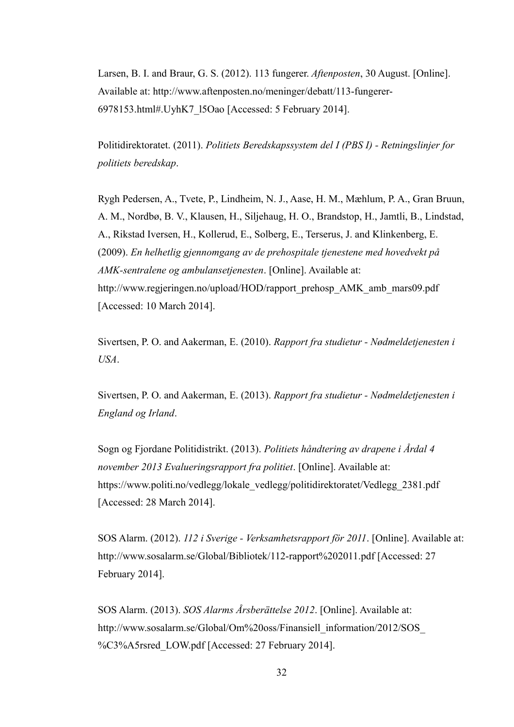Larsen, B. I. and Braur, G. S. (2012). 113 fungerer. *Aftenposten*, 30 August. [Online]. Available at: http://www.aftenposten.no/meninger/debatt/113-fungerer-6978153.html#.UyhK7\_l5Oao [Accessed: 5 February 2014].

Politidirektoratet. (2011). *Politiets Beredskapssystem del I (PBS I) - Retningslinjer for politiets beredskap*.

Rygh Pedersen, A., Tvete, P., Lindheim, N. J., Aase, H. M., Mæhlum, P. A., Gran Bruun, A. M., Nordbø, B. V., Klausen, H., Siljehaug, H. O., Brandstop, H., Jamtli, B., Lindstad, A., Rikstad Iversen, H., Kollerud, E., Solberg, E., Terserus, J. and Klinkenberg, E. (2009). *En helhetlig gjennomgang av de prehospitale tjenestene med hovedvekt på AMK-sentralene og ambulansetjenesten*. [Online]. Available at: http://www.regjeringen.no/upload/HOD/rapport\_prehosp\_AMK\_amb\_mars09.pdf [Accessed: 10 March 2014].

Sivertsen, P. O. and Aakerman, E. (2010). *Rapport fra studietur - Nødmeldetjenesten i USA*.

Sivertsen, P. O. and Aakerman, E. (2013). *Rapport fra studietur - Nødmeldetjenesten i England og Irland*.

Sogn og Fjordane Politidistrikt. (2013). *Politiets håndtering av drapene i Årdal 4 november 2013 Evalueringsrapport fra politiet*. [Online]. Available at: https://www.politi.no/vedlegg/lokale\_vedlegg/politidirektoratet/Vedlegg\_2381.pdf [Accessed: 28 March 2014].

SOS Alarm. (2012). *112 i Sverige - Verksamhetsrapport för 2011*. [Online]. Available at: http://www.sosalarm.se/Global/Bibliotek/112-rapport%202011.pdf [Accessed: 27 February 2014].

SOS Alarm. (2013). *SOS Alarms Årsberättelse 2012*. [Online]. Available at: http://www.sosalarm.se/Global/Om%20oss/Finansiell\_information/2012/SOS\_ %C3%A5rsred\_LOW.pdf [Accessed: 27 February 2014].